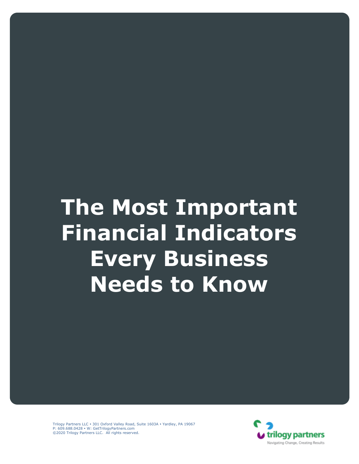# **The Most Important Financial Indicators Every Business Needs to Know**

Trilogy Partners LLC . 301 Oxford Valley Road, Suite 1603A . Yardley, PA 19067 P: 609.688.0428 • W: GetTrilogyPartners.com ©2020 Trilogy Partners LLC. All rights reserved.